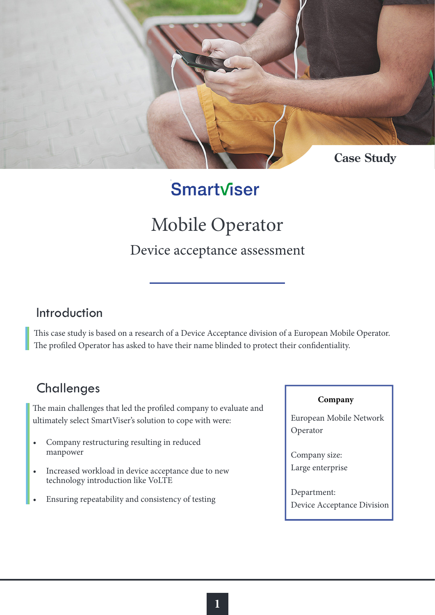

## Smartviser

# Mobile Operator

#### Device acceptance assessment

#### Introduction

This case study is based on a research of a Device Acceptance division of a European Mobile Operator. The profiled Operator has asked to have their name blinded to protect their confidentiality.

### **Challenges**

The main challenges that led the profiled company to evaluate and ultimately select SmartViser's solution to cope with were:

- Company restructuring resulting in reduced manpower
- Increased workload in device acceptance due to new technology introduction like VoLTE
- Ensuring repeatability and consistency of testing

#### **Company**

European Mobile Network Operator

Company size: Large enterprise

Department: Device Acceptance Division